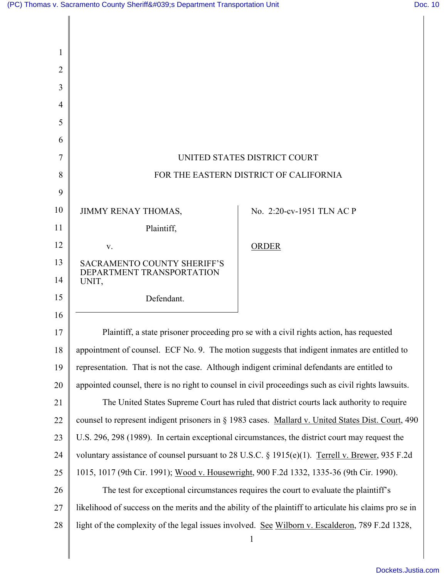Π

| 1      |                                                                                                         |                           |
|--------|---------------------------------------------------------------------------------------------------------|---------------------------|
| 2      |                                                                                                         |                           |
| 3      |                                                                                                         |                           |
| 4<br>5 |                                                                                                         |                           |
| 6      |                                                                                                         |                           |
| 7      | UNITED STATES DISTRICT COURT                                                                            |                           |
| 8      | FOR THE EASTERN DISTRICT OF CALIFORNIA                                                                  |                           |
| 9      |                                                                                                         |                           |
| 10     | <b>JIMMY RENAY THOMAS,</b>                                                                              | No. 2:20-cv-1951 TLN AC P |
| 11     | Plaintiff,                                                                                              |                           |
| 12     | V.                                                                                                      | ORDER                     |
| 13     | <b>SACRAMENTO COUNTY SHERIFF'S</b>                                                                      |                           |
| 14     | DEPARTMENT TRANSPORTATION<br>UNIT,                                                                      |                           |
| 15     | Defendant.                                                                                              |                           |
| 16     |                                                                                                         |                           |
| 17     | Plaintiff, a state prisoner proceeding pro se with a civil rights action, has requested                 |                           |
| $18\,$ | appointment of counsel. ECF No. 9. The motion suggests that indigent inmates are entitled to            |                           |
| 19     | representation. That is not the case. Although indigent criminal defendants are entitled to             |                           |
| 20     | appointed counsel, there is no right to counsel in civil proceedings such as civil rights lawsuits.     |                           |
| 21     | The United States Supreme Court has ruled that district courts lack authority to require                |                           |
| 22     | counsel to represent indigent prisoners in § 1983 cases. Mallard v. United States Dist. Court, 490      |                           |
| 23     | U.S. 296, 298 (1989). In certain exceptional circumstances, the district court may request the          |                           |
| 24     | voluntary assistance of counsel pursuant to 28 U.S.C. § 1915(e)(1). Terrell v. Brewer, 935 F.2d         |                           |
| 25     | 1015, 1017 (9th Cir. 1991); Wood v. Housewright, 900 F.2d 1332, 1335-36 (9th Cir. 1990).                |                           |
| 26     | The test for exceptional circumstances requires the court to evaluate the plaintiff's                   |                           |
| 27     | likelihood of success on the merits and the ability of the plaintiff to articulate his claims pro se in |                           |
| 28     | light of the complexity of the legal issues involved. See Wilborn v. Escalderon, 789 F.2d 1328,         |                           |
|        |                                                                                                         | $\mathbf{1}$              |